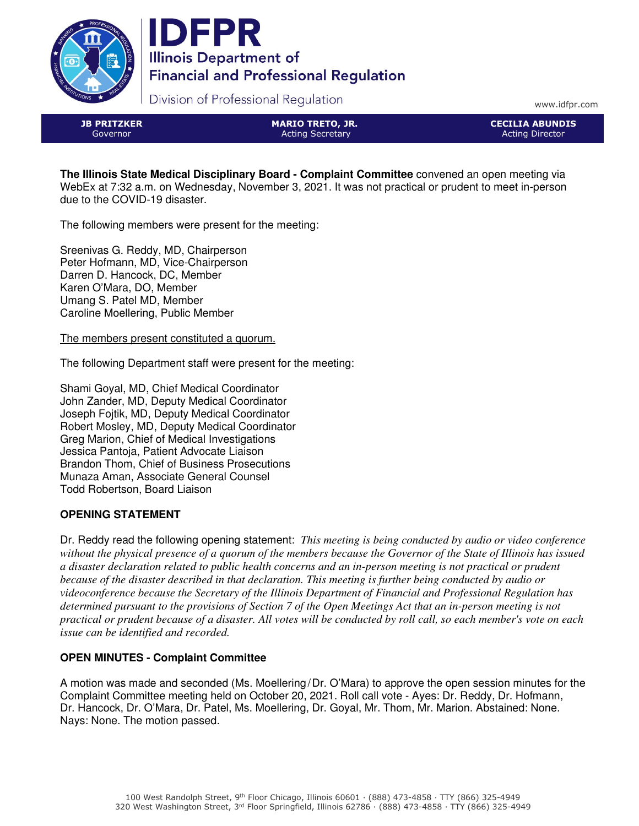



Division of Professional Regulation

www.idfpr.com

JB PRITZKER Governor

MARIO TRETO, JR. Acting Secretary

CECILIA ABUNDIS Acting Director

**The Illinois State Medical Disciplinary Board - Complaint Committee** convened an open meeting via WebEx at 7:32 a.m. on Wednesday, November 3, 2021. It was not practical or prudent to meet in-person due to the COVID-19 disaster.

The following members were present for the meeting:

Sreenivas G. Reddy, MD, Chairperson Peter Hofmann, MD, Vice-Chairperson Darren D. Hancock, DC, Member Karen O'Mara, DO, Member Umang S. Patel MD, Member Caroline Moellering, Public Member

The members present constituted a quorum.

The following Department staff were present for the meeting:

Shami Goyal, MD, Chief Medical Coordinator John Zander, MD, Deputy Medical Coordinator Joseph Fojtik, MD, Deputy Medical Coordinator Robert Mosley, MD, Deputy Medical Coordinator Greg Marion, Chief of Medical Investigations Jessica Pantoja, Patient Advocate Liaison Brandon Thom, Chief of Business Prosecutions Munaza Aman, Associate General Counsel Todd Robertson, Board Liaison

# **OPENING STATEMENT**

Dr. Reddy read the following opening statement: *This meeting is being conducted by audio or video conference without the physical presence of a quorum of the members because the Governor of the State of Illinois has issued a disaster declaration related to public health concerns and an in-person meeting is not practical or prudent because of the disaster described in that declaration. This meeting is further being conducted by audio or videoconference because the Secretary of the Illinois Department of Financial and Professional Regulation has determined pursuant to the provisions of Section 7 of the Open Meetings Act that an in-person meeting is not practical or prudent because of a disaster. All votes will be conducted by roll call, so each member's vote on each issue can be identified and recorded.*

# **OPEN MINUTES - Complaint Committee**

A motion was made and seconded (Ms. Moellering/Dr. O'Mara) to approve the open session minutes for the Complaint Committee meeting held on October 20, 2021. Roll call vote - Ayes: Dr. Reddy, Dr. Hofmann, Dr. Hancock, Dr. O'Mara, Dr. Patel, Ms. Moellering, Dr. Goyal, Mr. Thom, Mr. Marion. Abstained: None. Nays: None. The motion passed.